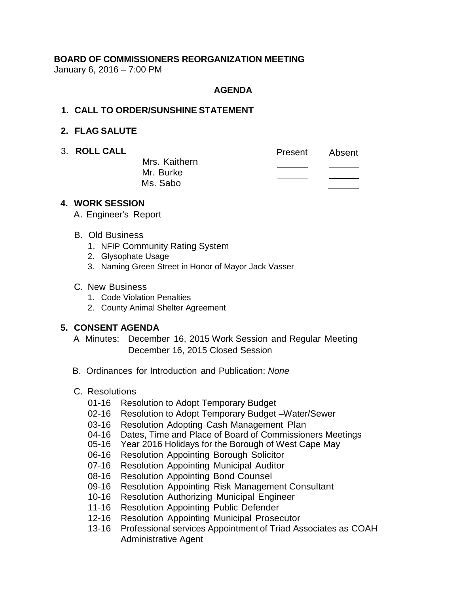# **BOARD OF COMMISSIONERS REORGANIZATION MEETING**

January 6, 2016 – 7:00 PM

### **AGENDA**

#### **1. CALL TO ORDER/SUNSHINE STATEMENT**

### **2. FLAG SALUTE**

3. **ROLL CALL** Present Absent Mrs. Kaithern  $\overline{\phantom{a}}$ Mr. Burke Ms. Sabo

#### **4. WORK SESSION**

- A. Engineer's Report
- B. Old Business
	- 1. NFIP Community Rating System
	- 2. Glysophate Usage
	- 3. Naming Green Street in Honor of Mayor Jack Vasser

#### C. New Business

- 1. Code Violation Penalties
- 2. County Animal Shelter Agreement

# **5. CONSENT AGENDA**

- A Minutes: December 16, 2015 Work Session and Regular Meeting December 16, 2015 Closed Session
- B. Ordinances for Introduction and Publication: *None*
- C. Resolutions
	- 01-16 Resolution to Adopt Temporary Budget
	- 02-16 Resolution to Adopt Temporary Budget –Water/Sewer
	- 03-16 Resolution Adopting Cash Management Plan
	- 04-16 Dates, Time and Place of Board of Commissioners Meetings
	- 05-16 Year 2016 Holidays for the Borough of West Cape May
	- 06-16 Resolution Appointing Borough Solicitor
	- 07-16 Resolution Appointing Municipal Auditor
	- 08-16 Resolution Appointing Bond Counsel
	- 09-16 Resolution Appointing Risk Management Consultant
	- 10-16 Resolution Authorizing Municipal Engineer
	- 11-16 Resolution Appointing Public Defender
	- 12-16 Resolution Appointing Municipal Prosecutor
	- 13-16 Professional services Appointment of Triad Associates as COAH Administrative Agent